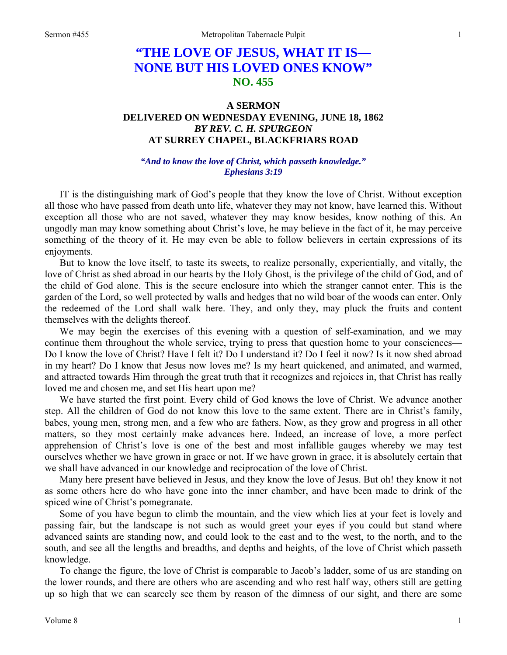# **"THE LOVE OF JESUS, WHAT IT IS— NONE BUT HIS LOVED ONES KNOW" NO. 455**

## **A SERMON DELIVERED ON WEDNESDAY EVENING, JUNE 18, 1862**  *BY REV. C. H. SPURGEON*  **AT SURREY CHAPEL, BLACKFRIARS ROAD**

#### *"And to know the love of Christ, which passeth knowledge." Ephesians 3:19*

IT is the distinguishing mark of God's people that they know the love of Christ. Without exception all those who have passed from death unto life, whatever they may not know, have learned this. Without exception all those who are not saved, whatever they may know besides, know nothing of this. An ungodly man may know something about Christ's love, he may believe in the fact of it, he may perceive something of the theory of it. He may even be able to follow believers in certain expressions of its enjoyments.

But to know the love itself, to taste its sweets, to realize personally, experientially, and vitally, the love of Christ as shed abroad in our hearts by the Holy Ghost, is the privilege of the child of God, and of the child of God alone. This is the secure enclosure into which the stranger cannot enter. This is the garden of the Lord, so well protected by walls and hedges that no wild boar of the woods can enter. Only the redeemed of the Lord shall walk here. They, and only they, may pluck the fruits and content themselves with the delights thereof.

We may begin the exercises of this evening with a question of self-examination, and we may continue them throughout the whole service, trying to press that question home to your consciences— Do I know the love of Christ? Have I felt it? Do I understand it? Do I feel it now? Is it now shed abroad in my heart? Do I know that Jesus now loves me? Is my heart quickened, and animated, and warmed, and attracted towards Him through the great truth that it recognizes and rejoices in, that Christ has really loved me and chosen me, and set His heart upon me?

We have started the first point. Every child of God knows the love of Christ. We advance another step. All the children of God do not know this love to the same extent. There are in Christ's family, babes, young men, strong men, and a few who are fathers. Now, as they grow and progress in all other matters, so they most certainly make advances here. Indeed, an increase of love, a more perfect apprehension of Christ's love is one of the best and most infallible gauges whereby we may test ourselves whether we have grown in grace or not. If we have grown in grace, it is absolutely certain that we shall have advanced in our knowledge and reciprocation of the love of Christ.

Many here present have believed in Jesus, and they know the love of Jesus. But oh! they know it not as some others here do who have gone into the inner chamber, and have been made to drink of the spiced wine of Christ's pomegranate.

Some of you have begun to climb the mountain, and the view which lies at your feet is lovely and passing fair, but the landscape is not such as would greet your eyes if you could but stand where advanced saints are standing now, and could look to the east and to the west, to the north, and to the south, and see all the lengths and breadths, and depths and heights, of the love of Christ which passeth knowledge.

To change the figure, the love of Christ is comparable to Jacob's ladder, some of us are standing on the lower rounds, and there are others who are ascending and who rest half way, others still are getting up so high that we can scarcely see them by reason of the dimness of our sight, and there are some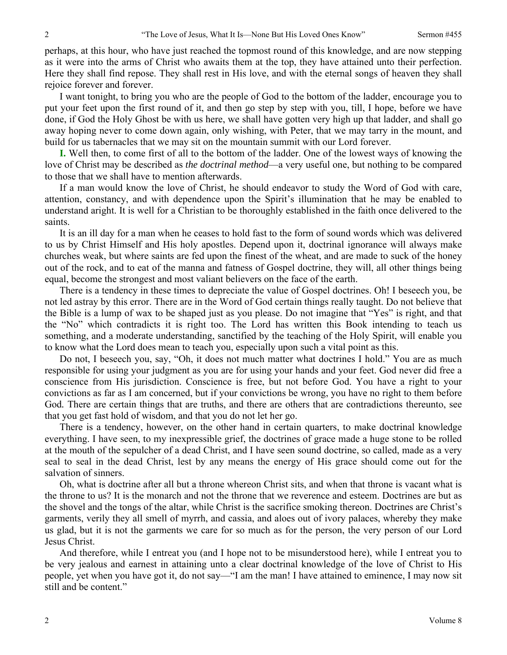perhaps, at this hour, who have just reached the topmost round of this knowledge, and are now stepping as it were into the arms of Christ who awaits them at the top, they have attained unto their perfection. Here they shall find repose. They shall rest in His love, and with the eternal songs of heaven they shall rejoice forever and forever.

I want tonight, to bring you who are the people of God to the bottom of the ladder, encourage you to put your feet upon the first round of it, and then go step by step with you, till, I hope, before we have done, if God the Holy Ghost be with us here, we shall have gotten very high up that ladder, and shall go away hoping never to come down again, only wishing, with Peter, that we may tarry in the mount, and build for us tabernacles that we may sit on the mountain summit with our Lord forever.

**I.** Well then, to come first of all to the bottom of the ladder. One of the lowest ways of knowing the love of Christ may be described as *the doctrinal method*—a very useful one, but nothing to be compared to those that we shall have to mention afterwards.

If a man would know the love of Christ, he should endeavor to study the Word of God with care, attention, constancy, and with dependence upon the Spirit's illumination that he may be enabled to understand aright. It is well for a Christian to be thoroughly established in the faith once delivered to the saints.

It is an ill day for a man when he ceases to hold fast to the form of sound words which was delivered to us by Christ Himself and His holy apostles. Depend upon it, doctrinal ignorance will always make churches weak, but where saints are fed upon the finest of the wheat, and are made to suck of the honey out of the rock, and to eat of the manna and fatness of Gospel doctrine, they will, all other things being equal, become the strongest and most valiant believers on the face of the earth.

There is a tendency in these times to depreciate the value of Gospel doctrines. Oh! I beseech you, be not led astray by this error. There are in the Word of God certain things really taught. Do not believe that the Bible is a lump of wax to be shaped just as you please. Do not imagine that "Yes" is right, and that the "No" which contradicts it is right too. The Lord has written this Book intending to teach us something, and a moderate understanding, sanctified by the teaching of the Holy Spirit, will enable you to know what the Lord does mean to teach you, especially upon such a vital point as this.

Do not, I beseech you, say, "Oh, it does not much matter what doctrines I hold." You are as much responsible for using your judgment as you are for using your hands and your feet. God never did free a conscience from His jurisdiction. Conscience is free, but not before God. You have a right to your convictions as far as I am concerned, but if your convictions be wrong, you have no right to them before God. There are certain things that are truths, and there are others that are contradictions thereunto, see that you get fast hold of wisdom, and that you do not let her go.

There is a tendency, however, on the other hand in certain quarters, to make doctrinal knowledge everything. I have seen, to my inexpressible grief, the doctrines of grace made a huge stone to be rolled at the mouth of the sepulcher of a dead Christ, and I have seen sound doctrine, so called, made as a very seal to seal in the dead Christ, lest by any means the energy of His grace should come out for the salvation of sinners.

Oh, what is doctrine after all but a throne whereon Christ sits, and when that throne is vacant what is the throne to us? It is the monarch and not the throne that we reverence and esteem. Doctrines are but as the shovel and the tongs of the altar, while Christ is the sacrifice smoking thereon. Doctrines are Christ's garments, verily they all smell of myrrh, and cassia, and aloes out of ivory palaces, whereby they make us glad, but it is not the garments we care for so much as for the person, the very person of our Lord Jesus Christ.

And therefore, while I entreat you (and I hope not to be misunderstood here), while I entreat you to be very jealous and earnest in attaining unto a clear doctrinal knowledge of the love of Christ to His people, yet when you have got it, do not say—"I am the man! I have attained to eminence, I may now sit still and be content."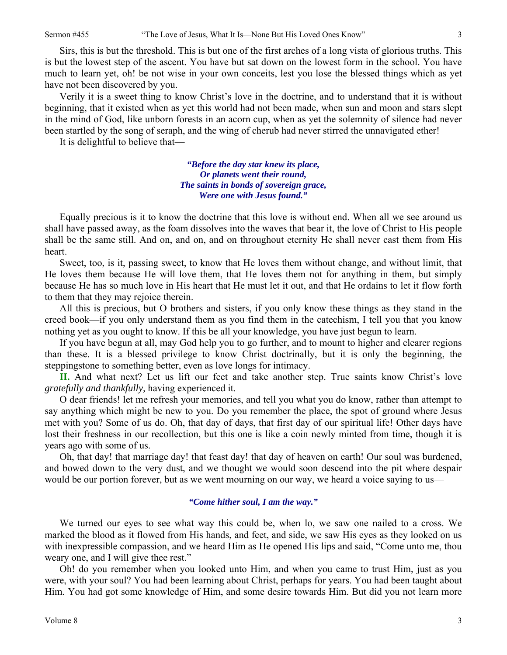Sirs, this is but the threshold. This is but one of the first arches of a long vista of glorious truths. This is but the lowest step of the ascent. You have but sat down on the lowest form in the school. You have much to learn yet, oh! be not wise in your own conceits, lest you lose the blessed things which as yet have not been discovered by you.

Verily it is a sweet thing to know Christ's love in the doctrine, and to understand that it is without beginning, that it existed when as yet this world had not been made, when sun and moon and stars slept in the mind of God, like unborn forests in an acorn cup, when as yet the solemnity of silence had never been startled by the song of seraph, and the wing of cherub had never stirred the unnavigated ether!

It is delightful to believe that—

*"Before the day star knew its place, Or planets went their round, The saints in bonds of sovereign grace, Were one with Jesus found."* 

Equally precious is it to know the doctrine that this love is without end. When all we see around us shall have passed away, as the foam dissolves into the waves that bear it, the love of Christ to His people shall be the same still. And on, and on, and on throughout eternity He shall never cast them from His heart.

Sweet, too, is it, passing sweet, to know that He loves them without change, and without limit, that He loves them because He will love them, that He loves them not for anything in them, but simply because He has so much love in His heart that He must let it out, and that He ordains to let it flow forth to them that they may rejoice therein.

All this is precious, but O brothers and sisters, if you only know these things as they stand in the creed book—if you only understand them as you find them in the catechism, I tell you that you know nothing yet as you ought to know. If this be all your knowledge, you have just begun to learn.

If you have begun at all, may God help you to go further, and to mount to higher and clearer regions than these. It is a blessed privilege to know Christ doctrinally, but it is only the beginning, the steppingstone to something better, even as love longs for intimacy.

**II.** And what next? Let us lift our feet and take another step. True saints know Christ's love *gratefully and thankfully,* having experienced it.

O dear friends! let me refresh your memories, and tell you what you do know, rather than attempt to say anything which might be new to you. Do you remember the place, the spot of ground where Jesus met with you? Some of us do. Oh, that day of days, that first day of our spiritual life! Other days have lost their freshness in our recollection, but this one is like a coin newly minted from time, though it is years ago with some of us.

Oh, that day! that marriage day! that feast day! that day of heaven on earth! Our soul was burdened, and bowed down to the very dust, and we thought we would soon descend into the pit where despair would be our portion forever, but as we went mourning on our way, we heard a voice saying to us—

#### *"Come hither soul, I am the way."*

We turned our eyes to see what way this could be, when lo, we saw one nailed to a cross. We marked the blood as it flowed from His hands, and feet, and side, we saw His eyes as they looked on us with inexpressible compassion, and we heard Him as He opened His lips and said, "Come unto me, thou weary one, and I will give thee rest."

Oh! do you remember when you looked unto Him, and when you came to trust Him, just as you were, with your soul? You had been learning about Christ, perhaps for years. You had been taught about Him. You had got some knowledge of Him, and some desire towards Him. But did you not learn more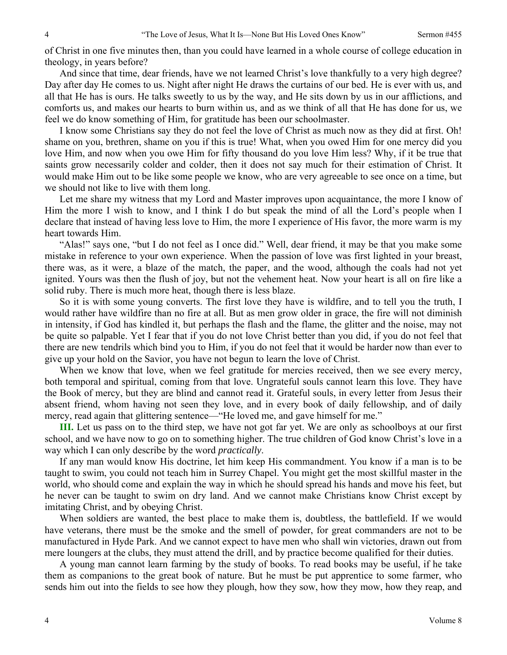of Christ in one five minutes then, than you could have learned in a whole course of college education in theology, in years before?

And since that time, dear friends, have we not learned Christ's love thankfully to a very high degree? Day after day He comes to us. Night after night He draws the curtains of our bed. He is ever with us, and all that He has is ours. He talks sweetly to us by the way, and He sits down by us in our afflictions, and comforts us, and makes our hearts to burn within us, and as we think of all that He has done for us, we feel we do know something of Him, for gratitude has been our schoolmaster.

I know some Christians say they do not feel the love of Christ as much now as they did at first. Oh! shame on you, brethren, shame on you if this is true! What, when you owed Him for one mercy did you love Him, and now when you owe Him for fifty thousand do you love Him less? Why, if it be true that saints grow necessarily colder and colder, then it does not say much for their estimation of Christ. It would make Him out to be like some people we know, who are very agreeable to see once on a time, but we should not like to live with them long.

Let me share my witness that my Lord and Master improves upon acquaintance, the more I know of Him the more I wish to know, and I think I do but speak the mind of all the Lord's people when I declare that instead of having less love to Him, the more I experience of His favor, the more warm is my heart towards Him.

"Alas!" says one, "but I do not feel as I once did." Well, dear friend, it may be that you make some mistake in reference to your own experience. When the passion of love was first lighted in your breast, there was, as it were, a blaze of the match, the paper, and the wood, although the coals had not yet ignited. Yours was then the flush of joy, but not the vehement heat. Now your heart is all on fire like a solid ruby. There is much more heat, though there is less blaze.

So it is with some young converts. The first love they have is wildfire, and to tell you the truth, I would rather have wildfire than no fire at all. But as men grow older in grace, the fire will not diminish in intensity, if God has kindled it, but perhaps the flash and the flame, the glitter and the noise, may not be quite so palpable. Yet I fear that if you do not love Christ better than you did, if you do not feel that there are new tendrils which bind you to Him, if you do not feel that it would be harder now than ever to give up your hold on the Savior, you have not begun to learn the love of Christ.

When we know that love, when we feel gratitude for mercies received, then we see every mercy, both temporal and spiritual, coming from that love. Ungrateful souls cannot learn this love. They have the Book of mercy, but they are blind and cannot read it. Grateful souls, in every letter from Jesus their absent friend, whom having not seen they love, and in every book of daily fellowship, and of daily mercy, read again that glittering sentence—"He loved me, and gave himself for me."

**III.** Let us pass on to the third step, we have not got far yet. We are only as schoolboys at our first school, and we have now to go on to something higher. The true children of God know Christ's love in a way which I can only describe by the word *practically*.

If any man would know His doctrine, let him keep His commandment. You know if a man is to be taught to swim, you could not teach him in Surrey Chapel. You might get the most skillful master in the world, who should come and explain the way in which he should spread his hands and move his feet, but he never can be taught to swim on dry land. And we cannot make Christians know Christ except by imitating Christ, and by obeying Christ.

When soldiers are wanted, the best place to make them is, doubtless, the battlefield. If we would have veterans, there must be the smoke and the smell of powder, for great commanders are not to be manufactured in Hyde Park. And we cannot expect to have men who shall win victories, drawn out from mere loungers at the clubs, they must attend the drill, and by practice become qualified for their duties.

A young man cannot learn farming by the study of books. To read books may be useful, if he take them as companions to the great book of nature. But he must be put apprentice to some farmer, who sends him out into the fields to see how they plough, how they sow, how they mow, how they reap, and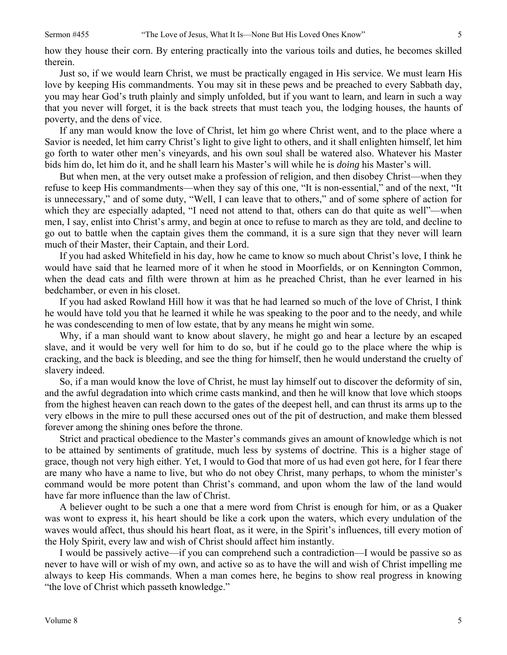how they house their corn. By entering practically into the various toils and duties, he becomes skilled therein.

Just so, if we would learn Christ, we must be practically engaged in His service. We must learn His love by keeping His commandments. You may sit in these pews and be preached to every Sabbath day, you may hear God's truth plainly and simply unfolded, but if you want to learn, and learn in such a way that you never will forget, it is the back streets that must teach you, the lodging houses, the haunts of poverty, and the dens of vice.

If any man would know the love of Christ, let him go where Christ went, and to the place where a Savior is needed, let him carry Christ's light to give light to others, and it shall enlighten himself, let him go forth to water other men's vineyards, and his own soul shall be watered also. Whatever his Master bids him do, let him do it, and he shall learn his Master's will while he is *doing* his Master's will.

But when men, at the very outset make a profession of religion, and then disobey Christ—when they refuse to keep His commandments—when they say of this one, "It is non-essential," and of the next, "It is unnecessary," and of some duty, "Well, I can leave that to others," and of some sphere of action for which they are especially adapted, "I need not attend to that, others can do that quite as well"—when men, I say, enlist into Christ's army, and begin at once to refuse to march as they are told, and decline to go out to battle when the captain gives them the command, it is a sure sign that they never will learn much of their Master, their Captain, and their Lord.

If you had asked Whitefield in his day, how he came to know so much about Christ's love, I think he would have said that he learned more of it when he stood in Moorfields, or on Kennington Common, when the dead cats and filth were thrown at him as he preached Christ, than he ever learned in his bedchamber, or even in his closet.

If you had asked Rowland Hill how it was that he had learned so much of the love of Christ, I think he would have told you that he learned it while he was speaking to the poor and to the needy, and while he was condescending to men of low estate, that by any means he might win some.

Why, if a man should want to know about slavery, he might go and hear a lecture by an escaped slave, and it would be very well for him to do so, but if he could go to the place where the whip is cracking, and the back is bleeding, and see the thing for himself, then he would understand the cruelty of slavery indeed.

So, if a man would know the love of Christ, he must lay himself out to discover the deformity of sin, and the awful degradation into which crime casts mankind, and then he will know that love which stoops from the highest heaven can reach down to the gates of the deepest hell, and can thrust its arms up to the very elbows in the mire to pull these accursed ones out of the pit of destruction, and make them blessed forever among the shining ones before the throne.

Strict and practical obedience to the Master's commands gives an amount of knowledge which is not to be attained by sentiments of gratitude, much less by systems of doctrine. This is a higher stage of grace, though not very high either. Yet, I would to God that more of us had even got here, for I fear there are many who have a name to live, but who do not obey Christ, many perhaps, to whom the minister's command would be more potent than Christ's command, and upon whom the law of the land would have far more influence than the law of Christ.

A believer ought to be such a one that a mere word from Christ is enough for him, or as a Quaker was wont to express it, his heart should be like a cork upon the waters, which every undulation of the waves would affect, thus should his heart float, as it were, in the Spirit's influences, till every motion of the Holy Spirit, every law and wish of Christ should affect him instantly.

I would be passively active—if you can comprehend such a contradiction—I would be passive so as never to have will or wish of my own, and active so as to have the will and wish of Christ impelling me always to keep His commands. When a man comes here, he begins to show real progress in knowing "the love of Christ which passeth knowledge."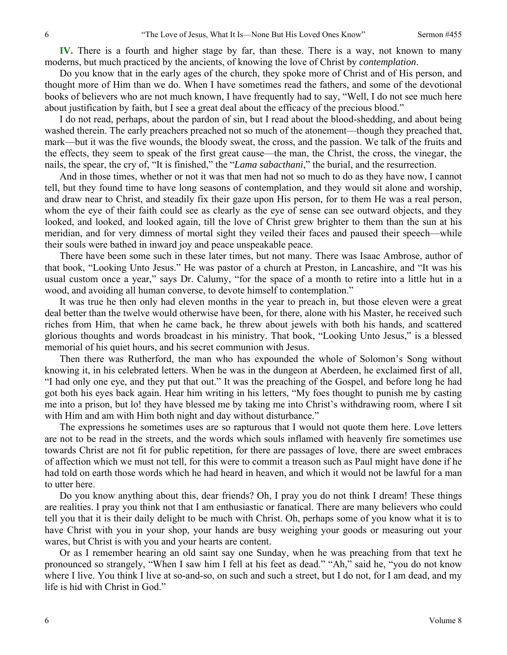**IV.** There is a fourth and higher stage by far, than these. There is a way, not known to many moderns, but much practiced by the ancients, of knowing the love of Christ by *contemplation*.

Do you know that in the early ages of the church, they spoke more of Christ and of His person, and thought more of Him than we do. When I have sometimes read the fathers, and some of the devotional books of believers who are not much known, I have frequently had to say, "Well, I do not see much here about justification by faith, but I see a great deal about the efficacy of the precious blood."

I do not read, perhaps, about the pardon of sin, but I read about the blood-shedding, and about being washed therein. The early preachers preached not so much of the atonement—though they preached that, mark—but it was the five wounds, the bloody sweat, the cross, and the passion. We talk of the fruits and the effects, they seem to speak of the first great cause—the man, the Christ, the cross, the vinegar, the nails, the spear, the cry of, "It is finished," the "*Lama sabacthani*," the burial, and the resurrection.

And in those times, whether or not it was that men had not so much to do as they have now, I cannot tell, but they found time to have long seasons of contemplation, and they would sit alone and worship, and draw near to Christ, and steadily fix their gaze upon His person, for to them He was a real person, whom the eye of their faith could see as clearly as the eye of sense can see outward objects, and they looked, and looked, and looked again, till the love of Christ grew brighter to them than the sun at his meridian, and for very dimness of mortal sight they veiled their faces and paused their speech—while their souls were bathed in inward joy and peace unspeakable peace.

There have been some such in these later times, but not many. There was Isaac Ambrose, author of that book, "Looking Unto Jesus." He was pastor of a church at Preston, in Lancashire, and "It was his usual custom once a year," says Dr. Calumy, "for the space of a month to retire into a little hut in a wood, and avoiding all human converse, to devote himself to contemplation."

It was true he then only had eleven months in the year to preach in, but those eleven were a great deal better than the twelve would otherwise have been, for there, alone with his Master, he received such riches from Him, that when he came back, he threw about jewels with both his hands, and scattered glorious thoughts and words broadcast in his ministry. That book, "Looking Unto Jesus," is a blessed memorial of his quiet hours, and his secret communion with Jesus.

Then there was Rutherford, the man who has expounded the whole of Solomon's Song without knowing it, in his celebrated letters. When he was in the dungeon at Aberdeen, he exclaimed first of all, "I had only one eye, and they put that out." It was the preaching of the Gospel, and before long he had got both his eyes back again. Hear him writing in his letters, "My foes thought to punish me by casting me into a prison, but lo! they have blessed me by taking me into Christ's withdrawing room, where I sit with Him and am with Him both night and day without disturbance."

The expressions he sometimes uses are so rapturous that I would not quote them here. Love letters are not to be read in the streets, and the words which souls inflamed with heavenly fire sometimes use towards Christ are not fit for public repetition, for there are passages of love, there are sweet embraces of affection which we must not tell, for this were to commit a treason such as Paul might have done if he had told on earth those words which he had heard in heaven, and which it would not be lawful for a man to utter here.

Do you know anything about this, dear friends? Oh, I pray you do not think I dream! These things are realities. I pray you think not that I am enthusiastic or fanatical. There are many believers who could tell you that it is their daily delight to be much with Christ. Oh, perhaps some of you know what it is to have Christ with you in your shop, your hands are busy weighing your goods or measuring out your wares, but Christ is with you and your hearts are content.

Or as I remember hearing an old saint say one Sunday, when he was preaching from that text he pronounced so strangely, "When I saw him I fell at his feet as dead." "Ah," said he, "you do not know where I live. You think I live at so-and-so, on such and such a street, but I do not, for I am dead, and my life is hid with Christ in God."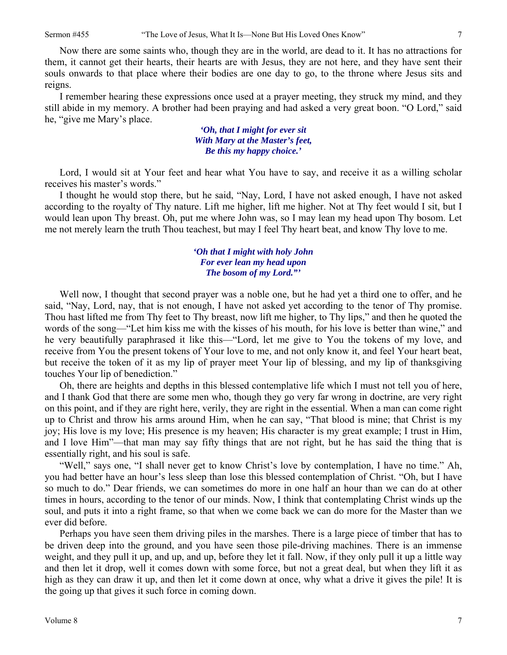Now there are some saints who, though they are in the world, are dead to it. It has no attractions for them, it cannot get their hearts, their hearts are with Jesus, they are not here, and they have sent their souls onwards to that place where their bodies are one day to go, to the throne where Jesus sits and reigns.

I remember hearing these expressions once used at a prayer meeting, they struck my mind, and they still abide in my memory. A brother had been praying and had asked a very great boon. "O Lord," said he, "give me Mary's place.

> *'Oh, that I might for ever sit With Mary at the Master's feet, Be this my happy choice.'*

Lord, I would sit at Your feet and hear what You have to say, and receive it as a willing scholar receives his master's words."

I thought he would stop there, but he said, "Nay, Lord, I have not asked enough, I have not asked according to the royalty of Thy nature. Lift me higher, lift me higher. Not at Thy feet would I sit, but I would lean upon Thy breast. Oh, put me where John was, so I may lean my head upon Thy bosom. Let me not merely learn the truth Thou teachest, but may I feel Thy heart beat, and know Thy love to me.

### *'Oh that I might with holy John For ever lean my head upon The bosom of my Lord."'*

Well now, I thought that second prayer was a noble one, but he had yet a third one to offer, and he said, "Nay, Lord, nay, that is not enough, I have not asked yet according to the tenor of Thy promise. Thou hast lifted me from Thy feet to Thy breast, now lift me higher, to Thy lips," and then he quoted the words of the song—"Let him kiss me with the kisses of his mouth, for his love is better than wine," and he very beautifully paraphrased it like this—"Lord, let me give to You the tokens of my love, and receive from You the present tokens of Your love to me, and not only know it, and feel Your heart beat, but receive the token of it as my lip of prayer meet Your lip of blessing, and my lip of thanksgiving touches Your lip of benediction."

Oh, there are heights and depths in this blessed contemplative life which I must not tell you of here, and I thank God that there are some men who, though they go very far wrong in doctrine, are very right on this point, and if they are right here, verily, they are right in the essential. When a man can come right up to Christ and throw his arms around Him, when he can say, "That blood is mine; that Christ is my joy; His love is my love; His presence is my heaven; His character is my great example; I trust in Him, and I love Him"—that man may say fifty things that are not right, but he has said the thing that is essentially right, and his soul is safe.

"Well," says one, "I shall never get to know Christ's love by contemplation, I have no time." Ah, you had better have an hour's less sleep than lose this blessed contemplation of Christ. "Oh, but I have so much to do." Dear friends, we can sometimes do more in one half an hour than we can do at other times in hours, according to the tenor of our minds. Now, I think that contemplating Christ winds up the soul, and puts it into a right frame, so that when we come back we can do more for the Master than we ever did before.

Perhaps you have seen them driving piles in the marshes. There is a large piece of timber that has to be driven deep into the ground, and you have seen those pile-driving machines. There is an immense weight, and they pull it up, and up, and up, before they let it fall. Now, if they only pull it up a little way and then let it drop, well it comes down with some force, but not a great deal, but when they lift it as high as they can draw it up, and then let it come down at once, why what a drive it gives the pile! It is the going up that gives it such force in coming down.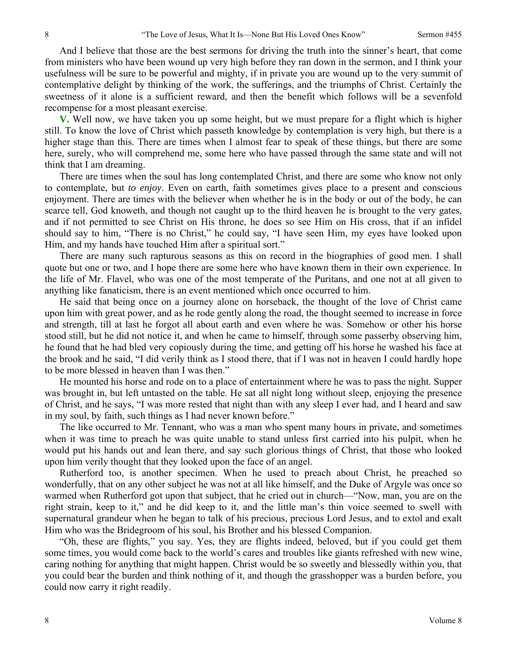And I believe that those are the best sermons for driving the truth into the sinner's heart, that come from ministers who have been wound up very high before they ran down in the sermon, and I think your usefulness will be sure to be powerful and mighty, if in private you are wound up to the very summit of contemplative delight by thinking of the work, the sufferings, and the triumphs of Christ. Certainly the sweetness of it alone is a sufficient reward, and then the benefit which follows will be a sevenfold recompense for a most pleasant exercise.

**V.** Well now, we have taken you up some height, but we must prepare for a flight which is higher still. To know the love of Christ which passeth knowledge by contemplation is very high, but there is a higher stage than this. There are times when I almost fear to speak of these things, but there are some here, surely, who will comprehend me, some here who have passed through the same state and will not think that I am dreaming.

There are times when the soul has long contemplated Christ, and there are some who know not only to contemplate, but *to enjoy*. Even on earth, faith sometimes gives place to a present and conscious enjoyment. There are times with the believer when whether he is in the body or out of the body, he can scarce tell, God knoweth, and though not caught up to the third heaven he is brought to the very gates, and if not permitted to see Christ on His throne, he does so see Him on His cross, that if an infidel should say to him, "There is no Christ," he could say, "I have seen Him, my eyes have looked upon Him, and my hands have touched Him after a spiritual sort."

There are many such rapturous seasons as this on record in the biographies of good men. I shall quote but one or two, and I hope there are some here who have known them in their own experience. In the life of Mr. Flavel, who was one of the most temperate of the Puritans, and one not at all given to anything like fanaticism, there is an event mentioned which once occurred to him.

He said that being once on a journey alone on horseback, the thought of the love of Christ came upon him with great power, and as he rode gently along the road, the thought seemed to increase in force and strength, till at last he forgot all about earth and even where he was. Somehow or other his horse stood still, but he did not notice it, and when he came to himself, through some passerby observing him, he found that he had bled very copiously during the time, and getting off his horse he washed his face at the brook and he said, "I did verily think as I stood there, that if I was not in heaven I could hardly hope to be more blessed in heaven than I was then."

He mounted his horse and rode on to a place of entertainment where he was to pass the night. Supper was brought in, but left untasted on the table. He sat all night long without sleep, enjoying the presence of Christ, and he says, "I was more rested that night than with any sleep I ever had, and I heard and saw in my soul, by faith, such things as I had never known before."

The like occurred to Mr. Tennant, who was a man who spent many hours in private, and sometimes when it was time to preach he was quite unable to stand unless first carried into his pulpit, when he would put his hands out and lean there, and say such glorious things of Christ, that those who looked upon him verily thought that they looked upon the face of an angel.

Rutherford too, is another specimen. When he used to preach about Christ, he preached so wonderfully, that on any other subject he was not at all like himself, and the Duke of Argyle was once so warmed when Rutherford got upon that subject, that he cried out in church—"Now, man, you are on the right strain, keep to it," and he did keep to it, and the little man's thin voice seemed to swell with supernatural grandeur when he began to talk of his precious, precious Lord Jesus, and to extol and exalt Him who was the Bridegroom of his soul, his Brother and his blessed Companion.

"Oh, these are flights," you say. Yes, they are flights indeed, beloved, but if you could get them some times, you would come back to the world's cares and troubles like giants refreshed with new wine, caring nothing for anything that might happen. Christ would be so sweetly and blessedly within you, that you could bear the burden and think nothing of it, and though the grasshopper was a burden before, you could now carry it right readily.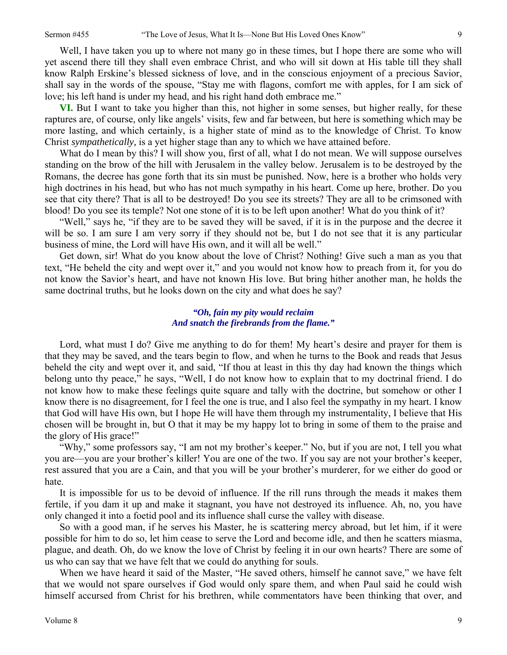Well, I have taken you up to where not many go in these times, but I hope there are some who will yet ascend there till they shall even embrace Christ, and who will sit down at His table till they shall know Ralph Erskine's blessed sickness of love, and in the conscious enjoyment of a precious Savior, shall say in the words of the spouse, "Stay me with flagons, comfort me with apples, for I am sick of love; his left hand is under my head, and his right hand doth embrace me."

**VI.** But I want to take you higher than this, not higher in some senses, but higher really, for these raptures are, of course, only like angels' visits, few and far between, but here is something which may be more lasting, and which certainly, is a higher state of mind as to the knowledge of Christ. To know Christ *sympathetically,* is a yet higher stage than any to which we have attained before.

What do I mean by this? I will show you, first of all, what I do not mean. We will suppose ourselves standing on the brow of the hill with Jerusalem in the valley below. Jerusalem is to be destroyed by the Romans, the decree has gone forth that its sin must be punished. Now, here is a brother who holds very high doctrines in his head, but who has not much sympathy in his heart. Come up here, brother. Do you see that city there? That is all to be destroyed! Do you see its streets? They are all to be crimsoned with blood! Do you see its temple? Not one stone of it is to be left upon another! What do you think of it?

"Well," says he, "if they are to be saved they will be saved, if it is in the purpose and the decree it will be so. I am sure I am very sorry if they should not be, but I do not see that it is any particular business of mine, the Lord will have His own, and it will all be well."

Get down, sir! What do you know about the love of Christ? Nothing! Give such a man as you that text, "He beheld the city and wept over it," and you would not know how to preach from it, for you do not know the Savior's heart, and have not known His love. But bring hither another man, he holds the same doctrinal truths, but he looks down on the city and what does he say?

#### *"Oh, fain my pity would reclaim And snatch the firebrands from the flame."*

Lord, what must I do? Give me anything to do for them! My heart's desire and prayer for them is that they may be saved, and the tears begin to flow, and when he turns to the Book and reads that Jesus beheld the city and wept over it, and said, "If thou at least in this thy day had known the things which belong unto thy peace," he says, "Well, I do not know how to explain that to my doctrinal friend. I do not know how to make these feelings quite square and tally with the doctrine, but somehow or other I know there is no disagreement, for I feel the one is true, and I also feel the sympathy in my heart. I know that God will have His own, but I hope He will have them through my instrumentality, I believe that His chosen will be brought in, but O that it may be my happy lot to bring in some of them to the praise and the glory of His grace!"

"Why," some professors say, "I am not my brother's keeper." No, but if you are not, I tell you what you are—you are your brother's killer! You are one of the two. If you say are not your brother's keeper, rest assured that you are a Cain, and that you will be your brother's murderer, for we either do good or hate.

It is impossible for us to be devoid of influence. If the rill runs through the meads it makes them fertile, if you dam it up and make it stagnant, you have not destroyed its influence. Ah, no, you have only changed it into a foetid pool and its influence shall curse the valley with disease.

So with a good man, if he serves his Master, he is scattering mercy abroad, but let him, if it were possible for him to do so, let him cease to serve the Lord and become idle, and then he scatters miasma, plague, and death. Oh, do we know the love of Christ by feeling it in our own hearts? There are some of us who can say that we have felt that we could do anything for souls.

When we have heard it said of the Master, "He saved others, himself he cannot save," we have felt that we would not spare ourselves if God would only spare them, and when Paul said he could wish himself accursed from Christ for his brethren, while commentators have been thinking that over, and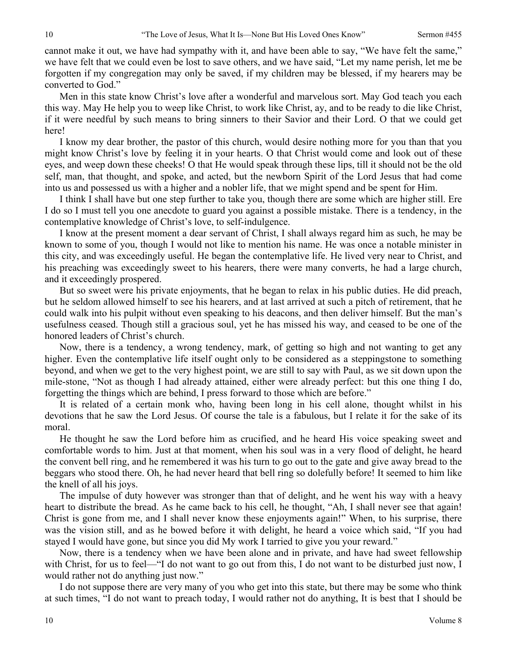cannot make it out, we have had sympathy with it, and have been able to say, "We have felt the same," we have felt that we could even be lost to save others, and we have said, "Let my name perish, let me be forgotten if my congregation may only be saved, if my children may be blessed, if my hearers may be converted to God."

Men in this state know Christ's love after a wonderful and marvelous sort. May God teach you each this way. May He help you to weep like Christ, to work like Christ, ay, and to be ready to die like Christ, if it were needful by such means to bring sinners to their Savior and their Lord. O that we could get here!

I know my dear brother, the pastor of this church, would desire nothing more for you than that you might know Christ's love by feeling it in your hearts. O that Christ would come and look out of these eyes, and weep down these cheeks! O that He would speak through these lips, till it should not be the old self, man, that thought, and spoke, and acted, but the newborn Spirit of the Lord Jesus that had come into us and possessed us with a higher and a nobler life, that we might spend and be spent for Him.

I think I shall have but one step further to take you, though there are some which are higher still. Ere I do so I must tell you one anecdote to guard you against a possible mistake. There is a tendency, in the contemplative knowledge of Christ's love, to self-indulgence.

I know at the present moment a dear servant of Christ, I shall always regard him as such, he may be known to some of you, though I would not like to mention his name. He was once a notable minister in this city, and was exceedingly useful. He began the contemplative life. He lived very near to Christ, and his preaching was exceedingly sweet to his hearers, there were many converts, he had a large church, and it exceedingly prospered.

But so sweet were his private enjoyments, that he began to relax in his public duties. He did preach, but he seldom allowed himself to see his hearers, and at last arrived at such a pitch of retirement, that he could walk into his pulpit without even speaking to his deacons, and then deliver himself. But the man's usefulness ceased. Though still a gracious soul, yet he has missed his way, and ceased to be one of the honored leaders of Christ's church.

Now, there is a tendency, a wrong tendency, mark, of getting so high and not wanting to get any higher. Even the contemplative life itself ought only to be considered as a steppingstone to something beyond, and when we get to the very highest point, we are still to say with Paul, as we sit down upon the mile-stone, "Not as though I had already attained, either were already perfect: but this one thing I do, forgetting the things which are behind, I press forward to those which are before."

It is related of a certain monk who, having been long in his cell alone, thought whilst in his devotions that he saw the Lord Jesus. Of course the tale is a fabulous, but I relate it for the sake of its moral.

He thought he saw the Lord before him as crucified, and he heard His voice speaking sweet and comfortable words to him. Just at that moment, when his soul was in a very flood of delight, he heard the convent bell ring, and he remembered it was his turn to go out to the gate and give away bread to the beggars who stood there. Oh, he had never heard that bell ring so dolefully before! It seemed to him like the knell of all his joys.

The impulse of duty however was stronger than that of delight, and he went his way with a heavy heart to distribute the bread. As he came back to his cell, he thought, "Ah, I shall never see that again! Christ is gone from me, and I shall never know these enjoyments again!" When, to his surprise, there was the vision still, and as he bowed before it with delight, he heard a voice which said, "If you had stayed I would have gone, but since you did My work I tarried to give you your reward."

Now, there is a tendency when we have been alone and in private, and have had sweet fellowship with Christ, for us to feel—"I do not want to go out from this, I do not want to be disturbed just now, I would rather not do anything just now."

I do not suppose there are very many of you who get into this state, but there may be some who think at such times, "I do not want to preach today, I would rather not do anything, It is best that I should be

10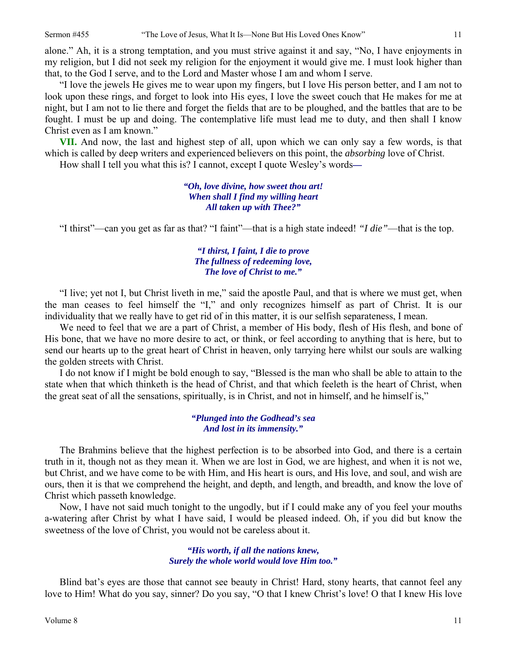alone." Ah, it is a strong temptation, and you must strive against it and say, "No, I have enjoyments in my religion, but I did not seek my religion for the enjoyment it would give me. I must look higher than that, to the God I serve, and to the Lord and Master whose I am and whom I serve.

"I love the jewels He gives me to wear upon my fingers, but I love His person better, and I am not to look upon these rings, and forget to look into His eyes, I love the sweet couch that He makes for me at night, but I am not to lie there and forget the fields that are to be ploughed, and the battles that are to be fought. I must be up and doing. The contemplative life must lead me to duty, and then shall I know Christ even as I am known."

**VII.** And now, the last and highest step of all, upon which we can only say a few words, is that which is called by deep writers and experienced believers on this point, the *absorbing* love of Christ.

How shall I tell you what this is? I cannot, except I quote Wesley's words*—* 

*"Oh, love divine, how sweet thou art! When shall I find my willing heart All taken up with Thee?"* 

"I thirst"—can you get as far as that? "I faint"—that is a high state indeed! *"I die"*—that is the top.

### *"I thirst, I faint, I die to prove The fullness of redeeming love, The love of Christ to me."*

"I live; yet not I, but Christ liveth in me," said the apostle Paul, and that is where we must get, when the man ceases to feel himself the "I," and only recognizes himself as part of Christ. It is our individuality that we really have to get rid of in this matter, it is our selfish separateness, I mean.

We need to feel that we are a part of Christ, a member of His body, flesh of His flesh, and bone of His bone, that we have no more desire to act, or think, or feel according to anything that is here, but to send our hearts up to the great heart of Christ in heaven, only tarrying here whilst our souls are walking the golden streets with Christ.

I do not know if I might be bold enough to say, "Blessed is the man who shall be able to attain to the state when that which thinketh is the head of Christ, and that which feeleth is the heart of Christ, when the great seat of all the sensations, spiritually, is in Christ, and not in himself, and he himself is,"

> *"Plunged into the Godhead's sea And lost in its immensity."*

The Brahmins believe that the highest perfection is to be absorbed into God, and there is a certain truth in it, though not as they mean it. When we are lost in God, we are highest, and when it is not we, but Christ, and we have come to be with Him, and His heart is ours, and His love, and soul, and wish are ours, then it is that we comprehend the height, and depth, and length, and breadth, and know the love of Christ which passeth knowledge.

Now, I have not said much tonight to the ungodly, but if I could make any of you feel your mouths a-watering after Christ by what I have said, I would be pleased indeed. Oh, if you did but know the sweetness of the love of Christ, you would not be careless about it.

#### *"His worth, if all the nations knew, Surely the whole world would love Him too."*

Blind bat's eyes are those that cannot see beauty in Christ! Hard, stony hearts, that cannot feel any love to Him! What do you say, sinner? Do you say, "O that I knew Christ's love! O that I knew His love

11